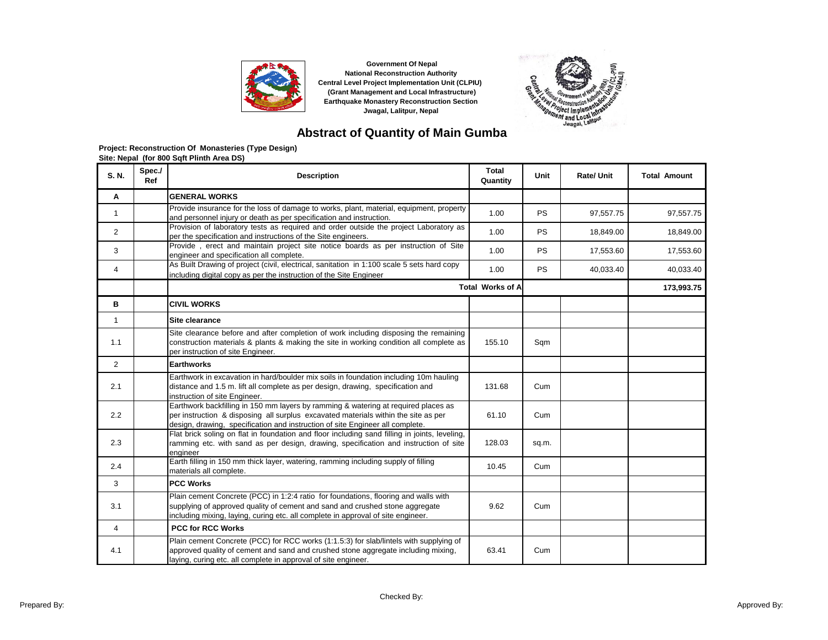



## **Abstract of Quantity of Main Gumba**

| S. N.          | Spec./<br>Ref | <b>Description</b>                                                                                                                                                                                                                                        | <b>Total</b><br>Quantity | Unit      | <b>Rate/Unit</b> | <b>Total Amount</b> |
|----------------|---------------|-----------------------------------------------------------------------------------------------------------------------------------------------------------------------------------------------------------------------------------------------------------|--------------------------|-----------|------------------|---------------------|
| А              |               | <b>GENERAL WORKS</b>                                                                                                                                                                                                                                      |                          |           |                  |                     |
| $\mathbf{1}$   |               | Provide insurance for the loss of damage to works, plant, material, equipment, property<br>and personnel injury or death as per specification and instruction.                                                                                            | 1.00                     | <b>PS</b> | 97,557.75        | 97,557.75           |
| 2              |               | Provision of laboratory tests as required and order outside the project Laboratory as<br>per the specification and instructions of the Site engineers.                                                                                                    | 1.00                     | <b>PS</b> | 18,849.00        | 18,849.00           |
| 3              |               | Provide, erect and maintain project site notice boards as per instruction of Site<br>engineer and specification all complete.                                                                                                                             | 1.00                     | <b>PS</b> | 17,553.60        | 17,553.60           |
| 4              |               | As Built Drawing of project (civil, electrical, sanitation in 1:100 scale 5 sets hard copy<br>including digital copy as per the instruction of the Site Engineer                                                                                          | 1.00                     | <b>PS</b> | 40,033.40        | 40,033.40           |
|                |               |                                                                                                                                                                                                                                                           | <b>Total Works of A</b>  |           |                  | 173,993.75          |
| в              |               | <b>CIVIL WORKS</b>                                                                                                                                                                                                                                        |                          |           |                  |                     |
| $\mathbf{1}$   |               | Site clearance                                                                                                                                                                                                                                            |                          |           |                  |                     |
| 1.1            |               | Site clearance before and after completion of work including disposing the remaining<br>construction materials & plants & making the site in working condition all complete as<br>per instruction of site Engineer.                                       | 155.10                   | Sqm       |                  |                     |
| $\overline{2}$ |               | <b>Earthworks</b>                                                                                                                                                                                                                                         |                          |           |                  |                     |
| 2.1            |               | Earthwork in excavation in hard/boulder mix soils in foundation including 10m hauling<br>distance and 1.5 m. lift all complete as per design, drawing, specification and<br>instruction of site Engineer.                                                 | 131.68                   | Cum       |                  |                     |
| 2.2            |               | Earthwork backfilling in 150 mm layers by ramming & watering at required places as<br>per instruction & disposing all surplus excavated materials within the site as per<br>design, drawing, specification and instruction of site Engineer all complete. | 61.10                    | Cum       |                  |                     |
| 2.3            |               | Flat brick soling on flat in foundation and floor including sand filling in joints, leveling,<br>ramming etc. with sand as per design, drawing, specification and instruction of site<br>engineer                                                         | 128.03                   | sq.m.     |                  |                     |
| 2.4            |               | Earth filling in 150 mm thick layer, watering, ramming including supply of filling<br>materials all complete.                                                                                                                                             | 10.45                    | Cum       |                  |                     |
| 3              |               | <b>PCC Works</b>                                                                                                                                                                                                                                          |                          |           |                  |                     |
| 3.1            |               | Plain cement Concrete (PCC) in 1:2:4 ratio for foundations, flooring and walls with<br>supplying of approved quality of cement and sand and crushed stone aggregate<br>including mixing, laying, curing etc. all complete in approval of site engineer.   | 9.62                     | Cum       |                  |                     |
| $\overline{4}$ |               | <b>PCC for RCC Works</b>                                                                                                                                                                                                                                  |                          |           |                  |                     |
| 4.1            |               | Plain cement Concrete (PCC) for RCC works (1:1.5:3) for slab/lintels with supplying of<br>approved quality of cement and sand and crushed stone aggregate including mixing,<br>laying, curing etc. all complete in approval of site engineer.             | 63.41                    | Cum       |                  |                     |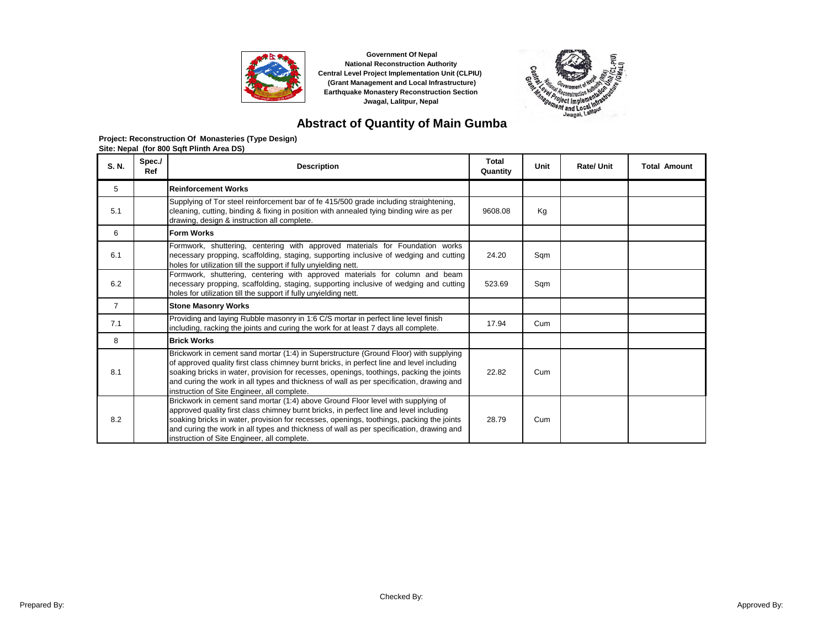



## **Abstract of Quantity of Main Gumba**

| S. N.          | Spec./<br>Ref | <b>Description</b>                                                                                                                                                                                                                                                                                                                                                                                                        | Total<br>Quantity | Unit | Rate/ Unit | <b>Total Amount</b> |
|----------------|---------------|---------------------------------------------------------------------------------------------------------------------------------------------------------------------------------------------------------------------------------------------------------------------------------------------------------------------------------------------------------------------------------------------------------------------------|-------------------|------|------------|---------------------|
| 5              |               | <b>Reinforcement Works</b>                                                                                                                                                                                                                                                                                                                                                                                                |                   |      |            |                     |
| 5.1            |               | Supplying of Tor steel reinforcement bar of fe 415/500 grade including straightening,<br>cleaning, cutting, binding & fixing in position with annealed tying binding wire as per<br>drawing, design & instruction all complete.                                                                                                                                                                                           | 9608.08           | Kg   |            |                     |
| 6              |               | <b>Form Works</b>                                                                                                                                                                                                                                                                                                                                                                                                         |                   |      |            |                     |
| 6.1            |               | Formwork, shuttering, centering with approved materials for Foundation works<br>necessary propping, scaffolding, staging, supporting inclusive of wedging and cutting<br>holes for utilization till the support if fully unyielding nett.                                                                                                                                                                                 | 24.20             | Sqm  |            |                     |
| 6.2            |               | Formwork, shuttering, centering with approved materials for column and beam<br>necessary propping, scaffolding, staging, supporting inclusive of wedging and cutting<br>holes for utilization till the support if fully unyielding nett.                                                                                                                                                                                  | 523.69            | Sqm  |            |                     |
| $\overline{7}$ |               | <b>Stone Masonry Works</b>                                                                                                                                                                                                                                                                                                                                                                                                |                   |      |            |                     |
| 7.1            |               | Providing and laying Rubble masonry in 1:6 C/S mortar in perfect line level finish<br>including, racking the joints and curing the work for at least 7 days all complete.                                                                                                                                                                                                                                                 | 17.94             | Cum  |            |                     |
| 8              |               | <b>Brick Works</b>                                                                                                                                                                                                                                                                                                                                                                                                        |                   |      |            |                     |
| 8.1            |               | Brickwork in cement sand mortar (1:4) in Superstructure (Ground Floor) with supplying<br>of approved quality first class chimney burnt bricks, in perfect line and level including<br>soaking bricks in water, provision for recesses, openings, toothings, packing the joints<br>and curing the work in all types and thickness of wall as per specification, drawing and<br>instruction of Site Engineer, all complete. | 22.82             | Cum  |            |                     |
| 8.2            |               | Brickwork in cement sand mortar (1:4) above Ground Floor level with supplying of<br>approved quality first class chimney burnt bricks, in perfect line and level including<br>soaking bricks in water, provision for recesses, openings, toothings, packing the joints<br>and curing the work in all types and thickness of wall as per specification, drawing and<br>instruction of Site Engineer, all complete.         | 28.79             | Cum  |            |                     |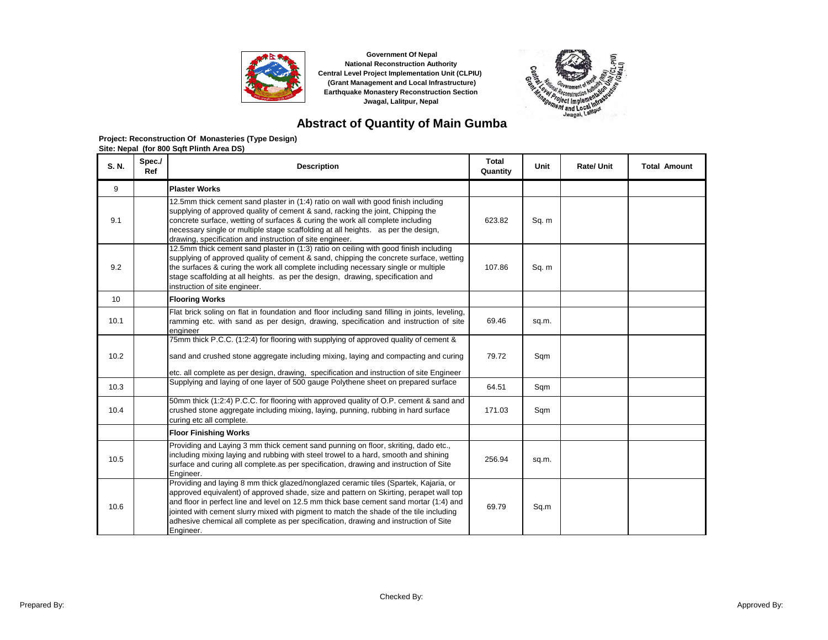



# **Abstract of Quantity of Main Gumba**

| S. N. | Spec./<br>Ref | <b>Description</b>                                                                                                                                                                                                                                                                                                                                                                                                                                                      | Total<br>Quantity | <b>Unit</b> | <b>Rate/ Unit</b> | <b>Total Amount</b> |
|-------|---------------|-------------------------------------------------------------------------------------------------------------------------------------------------------------------------------------------------------------------------------------------------------------------------------------------------------------------------------------------------------------------------------------------------------------------------------------------------------------------------|-------------------|-------------|-------------------|---------------------|
| 9     |               | <b>Plaster Works</b>                                                                                                                                                                                                                                                                                                                                                                                                                                                    |                   |             |                   |                     |
| 9.1   |               | 12.5mm thick cement sand plaster in (1:4) ratio on wall with good finish including<br>supplying of approved quality of cement & sand, racking the joint, Chipping the<br>concrete surface, wetting of surfaces & curing the work all complete including<br>necessary single or multiple stage scaffolding at all heights. as per the design,<br>drawing, specification and instruction of site engineer.                                                                | 623.82            | Sq. m       |                   |                     |
| 9.2   |               | 12.5mm thick cement sand plaster in (1:3) ratio on ceiling with good finish including<br>supplying of approved quality of cement & sand, chipping the concrete surface, wetting<br>the surfaces & curing the work all complete including necessary single or multiple<br>stage scaffolding at all heights. as per the design, drawing, specification and<br>instruction of site engineer.                                                                               | 107.86            | Sq. m       |                   |                     |
| 10    |               | <b>Flooring Works</b>                                                                                                                                                                                                                                                                                                                                                                                                                                                   |                   |             |                   |                     |
| 10.1  |               | Flat brick soling on flat in foundation and floor including sand filling in joints, leveling,<br>ramming etc. with sand as per design, drawing, specification and instruction of site<br>engineer                                                                                                                                                                                                                                                                       | 69.46             | sq.m.       |                   |                     |
| 10.2  |               | 75mm thick P.C.C. (1:2:4) for flooring with supplying of approved quality of cement &<br>sand and crushed stone aggregate including mixing, laying and compacting and curing                                                                                                                                                                                                                                                                                            | 79.72             | Sqm         |                   |                     |
| 10.3  |               | etc. all complete as per design, drawing, specification and instruction of site Engineer<br>Supplying and laying of one layer of 500 gauge Polythene sheet on prepared surface                                                                                                                                                                                                                                                                                          | 64.51             | Sqm         |                   |                     |
| 10.4  |               | 50mm thick (1:2:4) P.C.C. for flooring with approved quality of O.P. cement & sand and<br>crushed stone aggregate including mixing, laying, punning, rubbing in hard surface<br>curing etc all complete.                                                                                                                                                                                                                                                                | 171.03            | Sqm         |                   |                     |
|       |               | <b>Floor Finishing Works</b>                                                                                                                                                                                                                                                                                                                                                                                                                                            |                   |             |                   |                     |
| 10.5  |               | Providing and Laying 3 mm thick cement sand punning on floor, skriting, dado etc.,<br>including mixing laying and rubbing with steel trowel to a hard, smooth and shining<br>surface and curing all complete as per specification, drawing and instruction of Site<br>Engineer.                                                                                                                                                                                         | 256.94            | sq.m.       |                   |                     |
| 10.6  |               | Providing and laying 8 mm thick glazed/nonglazed ceramic tiles (Spartek, Kajaria, or<br>approved equivalent) of approved shade, size and pattern on Skirting, perapet wall top<br>and floor in perfect line and level on 12.5 mm thick base cement sand mortar (1:4) and<br>jointed with cement slurry mixed with pigment to match the shade of the tile including<br>adhesive chemical all complete as per specification, drawing and instruction of Site<br>Engineer. | 69.79             | Sq.m        |                   |                     |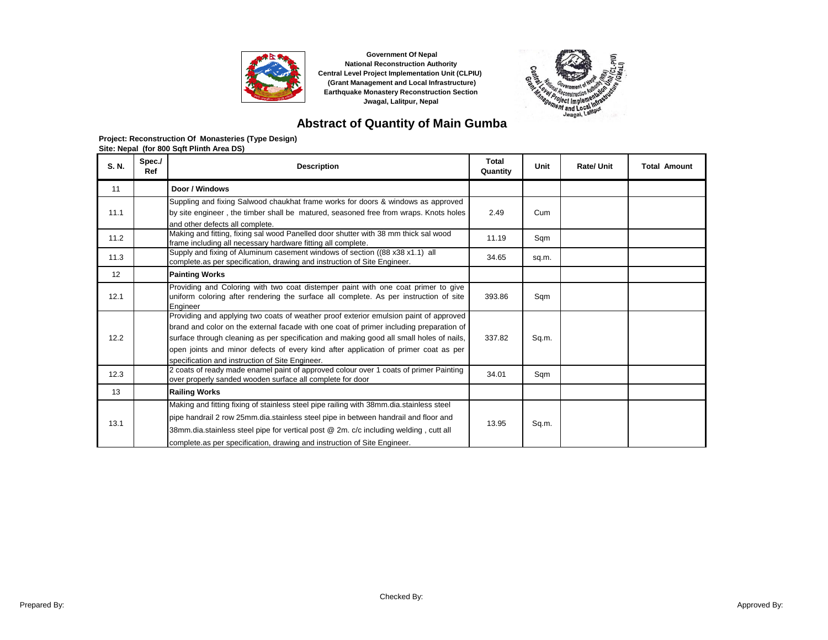



# **Abstract of Quantity of Main Gumba**

| S. N. | Spec./<br>Ref | <b>Description</b>                                                                                                                                                                                                                                                                                                                                                                                                    | Total<br>Quantity | Unit  | <b>Rate/Unit</b> | <b>Total Amount</b> |
|-------|---------------|-----------------------------------------------------------------------------------------------------------------------------------------------------------------------------------------------------------------------------------------------------------------------------------------------------------------------------------------------------------------------------------------------------------------------|-------------------|-------|------------------|---------------------|
| 11    |               | Door / Windows                                                                                                                                                                                                                                                                                                                                                                                                        |                   |       |                  |                     |
| 11.1  |               | Suppling and fixing Salwood chaukhat frame works for doors & windows as approved                                                                                                                                                                                                                                                                                                                                      | 2.49              | Cum   |                  |                     |
|       |               | by site engineer, the timber shall be matured, seasoned free from wraps. Knots holes<br>and other defects all complete.                                                                                                                                                                                                                                                                                               |                   |       |                  |                     |
| 11.2  |               | Making and fitting, fixing sal wood Panelled door shutter with 38 mm thick sal wood<br>frame including all necessary hardware fitting all complete.                                                                                                                                                                                                                                                                   | 11.19             | Sqm   |                  |                     |
| 11.3  |               | Supply and fixing of Aluminum casement windows of section ((88 x 38 x 1.1) all<br>complete as per specification, drawing and instruction of Site Engineer.                                                                                                                                                                                                                                                            | 34.65             | sq.m. |                  |                     |
| 12    |               | <b>Painting Works</b>                                                                                                                                                                                                                                                                                                                                                                                                 |                   |       |                  |                     |
| 12.1  |               | Providing and Coloring with two coat distemper paint with one coat primer to give<br>uniform coloring after rendering the surface all complete. As per instruction of site<br>Engineer                                                                                                                                                                                                                                | 393.86            | Sqm   |                  |                     |
| 12.2  |               | Providing and applying two coats of weather proof exterior emulsion paint of approved<br>brand and color on the external facade with one coat of primer including preparation of<br>surface through cleaning as per specification and making good all small holes of nails,<br>open joints and minor defects of every kind after application of primer coat as per<br>specification and instruction of Site Engineer. | 337.82            | Sq.m. |                  |                     |
| 12.3  |               | 2 coats of ready made enamel paint of approved colour over 1 coats of primer Painting<br>over properly sanded wooden surface all complete for door                                                                                                                                                                                                                                                                    | 34.01             | Sqm   |                  |                     |
| 13    |               | <b>Railing Works</b>                                                                                                                                                                                                                                                                                                                                                                                                  |                   |       |                  |                     |
| 13.1  |               | Making and fitting fixing of stainless steel pipe railing with 38mm dia stainless steel<br>pipe handrail 2 row 25mm.dia.stainless steel pipe in between handrail and floor and<br>38mm.dia.stainless steel pipe for vertical post @ 2m. c/c including welding, cutt all<br>complete as per specification, drawing and instruction of Site Engineer.                                                                   | 13.95             | Sq.m. |                  |                     |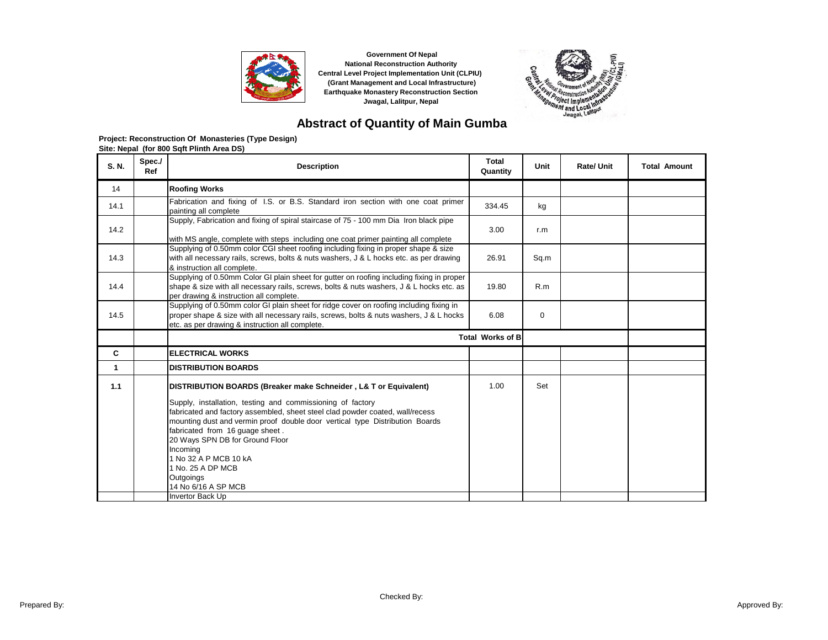



# **Abstract of Quantity of Main Gumba**

| S. N.        | Spec./<br>Ref | <b>Description</b>                                                                                                                                                                                                                                                                                                                                                                                                                                                                      | <b>Total</b><br>Quantity | Unit        | Rate/ Unit | <b>Total Amount</b> |
|--------------|---------------|-----------------------------------------------------------------------------------------------------------------------------------------------------------------------------------------------------------------------------------------------------------------------------------------------------------------------------------------------------------------------------------------------------------------------------------------------------------------------------------------|--------------------------|-------------|------------|---------------------|
| 14           |               | <b>Roofing Works</b>                                                                                                                                                                                                                                                                                                                                                                                                                                                                    |                          |             |            |                     |
| 14.1         |               | Fabrication and fixing of I.S. or B.S. Standard iron section with one coat primer<br>painting all complete                                                                                                                                                                                                                                                                                                                                                                              | 334.45                   | kg          |            |                     |
| 14.2         |               | Supply, Fabrication and fixing of spiral staircase of 75 - 100 mm Dia Iron black pipe<br>with MS angle, complete with steps including one coat primer painting all complete                                                                                                                                                                                                                                                                                                             | 3.00                     | r.m         |            |                     |
| 14.3         |               | Supplying of 0.50mm color CGI sheet roofing including fixing in proper shape & size<br>with all necessary rails, screws, bolts & nuts washers, J & L hocks etc. as per drawing<br>& instruction all complete.                                                                                                                                                                                                                                                                           | 26.91                    | Sq.m        |            |                     |
| 14.4         |               | Supplying of 0.50mm Color GI plain sheet for gutter on roofing including fixing in proper<br>shape & size with all necessary rails, screws, bolts & nuts washers, J & L hocks etc. as<br>per drawing & instruction all complete.                                                                                                                                                                                                                                                        | 19.80                    | R.m         |            |                     |
| 14.5         |               | Supplying of 0.50mm color GI plain sheet for ridge cover on roofing including fixing in<br>proper shape & size with all necessary rails, screws, bolts & nuts washers, J & L hocks<br>etc. as per drawing & instruction all complete.                                                                                                                                                                                                                                                   | 6.08                     | $\mathbf 0$ |            |                     |
|              |               |                                                                                                                                                                                                                                                                                                                                                                                                                                                                                         | <b>Total Works of B</b>  |             |            |                     |
| C            |               | <b>ELECTRICAL WORKS</b>                                                                                                                                                                                                                                                                                                                                                                                                                                                                 |                          |             |            |                     |
| $\mathbf{1}$ |               | <b>DISTRIBUTION BOARDS</b>                                                                                                                                                                                                                                                                                                                                                                                                                                                              |                          |             |            |                     |
| 1.1          |               | DISTRIBUTION BOARDS (Breaker make Schneider, L& T or Equivalent)<br>Supply, installation, testing and commissioning of factory<br>fabricated and factory assembled, sheet steel clad powder coated, wall/recess<br>mounting dust and vermin proof double door vertical type Distribution Boards<br>fabricated from 16 guage sheet.<br>20 Ways SPN DB for Ground Floor<br>Incoming<br>1 No 32 A P MCB 10 kA<br>1 No. 25 A DP MCB<br>Outgoings<br>14 No 6/16 A SP MCB<br>Invertor Back Up | 1.00                     | Set         |            |                     |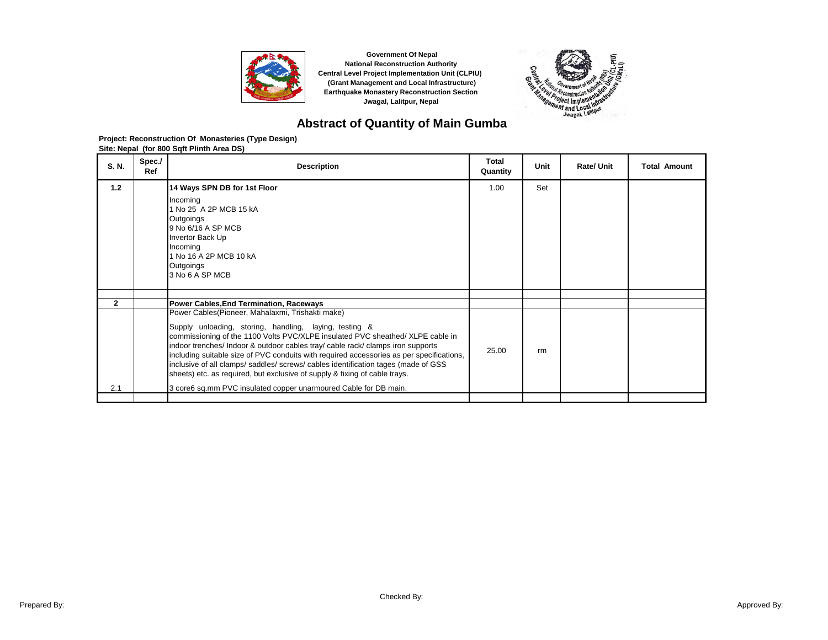



## **Abstract of Quantity of Main Gumba**

| S. N.        | Spec./<br>Ref | <b>Description</b>                                                                                                                                                                                                                                                                                                                                                                                                                                                                                                                                                                                                | Total<br>Quantity | Unit | <b>Rate/Unit</b> | <b>Total Amount</b> |
|--------------|---------------|-------------------------------------------------------------------------------------------------------------------------------------------------------------------------------------------------------------------------------------------------------------------------------------------------------------------------------------------------------------------------------------------------------------------------------------------------------------------------------------------------------------------------------------------------------------------------------------------------------------------|-------------------|------|------------------|---------------------|
| 1.2          |               | 14 Ways SPN DB for 1st Floor<br>Incoming<br>1 No 25 A 2P MCB 15 kA<br>Outgoings<br>9 No 6/16 A SP MCB<br>Invertor Back Up<br>Incoming<br>1 No 16 A 2P MCB 10 kA<br>Outgoings<br>3 No 6 A SP MCB                                                                                                                                                                                                                                                                                                                                                                                                                   | 1.00              | Set  |                  |                     |
|              |               |                                                                                                                                                                                                                                                                                                                                                                                                                                                                                                                                                                                                                   |                   |      |                  |                     |
| $\mathbf{2}$ |               | <b>Power Cables, End Termination, Raceways</b>                                                                                                                                                                                                                                                                                                                                                                                                                                                                                                                                                                    |                   |      |                  |                     |
| 2.1          |               | Power Cables (Pioneer, Mahalaxmi, Trishakti make)<br>Supply unloading, storing, handling, laying, testing &<br>commissioning of the 1100 Volts PVC/XLPE insulated PVC sheathed/ XLPE cable in<br>indoor trenches/ Indoor & outdoor cables tray/ cable rack/ clamps iron supports<br>including suitable size of PVC conduits with required accessories as per specifications,<br>inclusive of all clamps/saddles/screws/cables identification tages (made of GSS<br>sheets) etc. as required, but exclusive of supply & fixing of cable trays.<br>3 core6 sq.mm PVC insulated copper unarmoured Cable for DB main. | 25.00             | rm   |                  |                     |
|              |               |                                                                                                                                                                                                                                                                                                                                                                                                                                                                                                                                                                                                                   |                   |      |                  |                     |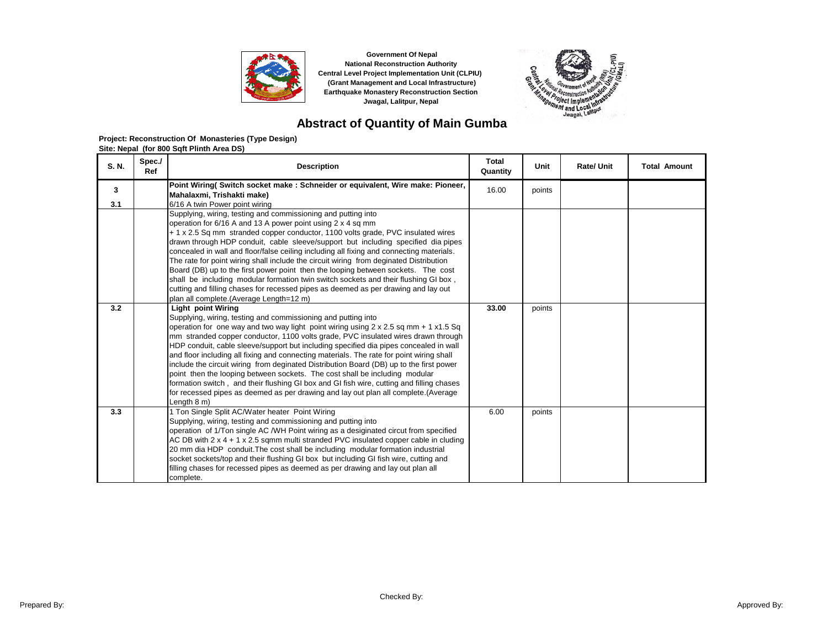



# **Abstract of Quantity of Main Gumba**

| S. N.    | Spec./<br>Ref | <b>Description</b>                                                                                                                                                                                                                                                                                                                                                                                                                                                                                                                                                                                                                                                                                                                                                                                                                                      | <b>Total</b><br>Quantity | Unit   | <b>Rate/Unit</b> | <b>Total Amount</b> |
|----------|---------------|---------------------------------------------------------------------------------------------------------------------------------------------------------------------------------------------------------------------------------------------------------------------------------------------------------------------------------------------------------------------------------------------------------------------------------------------------------------------------------------------------------------------------------------------------------------------------------------------------------------------------------------------------------------------------------------------------------------------------------------------------------------------------------------------------------------------------------------------------------|--------------------------|--------|------------------|---------------------|
| 3<br>3.1 |               | Point Wiring( Switch socket make : Schneider or equivalent, Wire make: Pioneer,<br>Mahalaxmi, Trishakti make)<br>6/16 A twin Power point wiring                                                                                                                                                                                                                                                                                                                                                                                                                                                                                                                                                                                                                                                                                                         | 16.00                    | points |                  |                     |
|          |               | Supplying, wiring, testing and commissioning and putting into<br>operation for 6/16 A and 13 A power point using 2 x 4 sq mm<br>+ 1 x 2.5 Sq mm stranded copper conductor, 1100 volts grade, PVC insulated wires<br>drawn through HDP conduit, cable sleeve/support but including specified dia pipes<br>concealed in wall and floor/false ceiling including all fixing and connecting materials.<br>The rate for point wiring shall include the circuit wiring from deginated Distribution<br>Board (DB) up to the first power point then the looping between sockets. The cost<br>shall be including modular formation twin switch sockets and their flushing GI box,<br>cutting and filling chases for recessed pipes as deemed as per drawing and lay out<br>plan all complete. (Average Length=12 m)                                               |                          |        |                  |                     |
| 3.2      |               | <b>Light point Wiring</b><br>Supplying, wiring, testing and commissioning and putting into<br>operation for one way and two way light point wiring using $2 \times 2.5$ sq mm + 1 $\times 1.5$ Sq<br>mm stranded copper conductor, 1100 volts grade, PVC insulated wires drawn through<br>HDP conduit, cable sleeve/support but including specified dia pipes concealed in wall<br>and floor including all fixing and connecting materials. The rate for point wiring shall<br>include the circuit wiring from deginated Distribution Board (DB) up to the first power<br>point then the looping between sockets. The cost shall be including modular<br>formation switch, and their flushing GI box and GI fish wire, cutting and filling chases<br>for recessed pipes as deemed as per drawing and lay out plan all complete. (Average<br>Length 8 m) | 33.00                    | points |                  |                     |
| 3.3      |               | 1 Ton Single Split AC/Water heater Point Wiring<br>Supplying, wiring, testing and commissioning and putting into<br>operation of 1/Ton single AC /WH Point wiring as a desiginated circut from specified<br>AC DB with $2 \times 4 + 1 \times 2.5$ sqmm multi stranded PVC insulated copper cable in cluding<br>20 mm dia HDP conduit. The cost shall be including modular formation industrial<br>socket sockets/top and their flushing GI box but including GI fish wire, cutting and<br>filling chases for recessed pipes as deemed as per drawing and lay out plan all<br>complete.                                                                                                                                                                                                                                                                 | 6.00                     | points |                  |                     |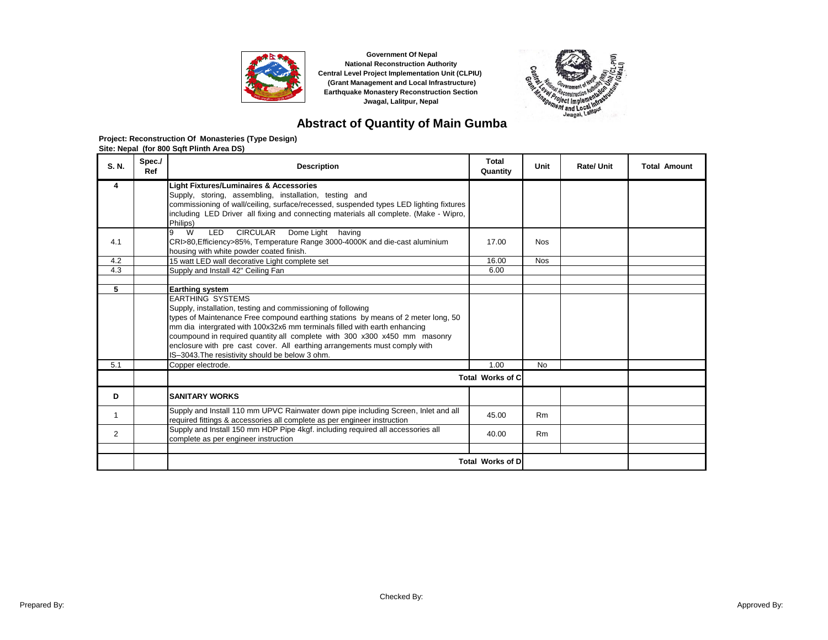



## **Abstract of Quantity of Main Gumba**

| S. N.      | Spec./<br>Ref | <b>Description</b>                                                                                                                                                              | Total<br>Quantity       | Unit           | Rate/ Unit | <b>Total Amount</b> |
|------------|---------------|---------------------------------------------------------------------------------------------------------------------------------------------------------------------------------|-------------------------|----------------|------------|---------------------|
| 4          |               | <b>Light Fixtures/Luminaires &amp; Accessories</b>                                                                                                                              |                         |                |            |                     |
|            |               | Supply, storing, assembling, installation, testing and                                                                                                                          |                         |                |            |                     |
|            |               | commissioning of wall/ceiling, surface/recessed, suspended types LED lighting fixtures<br>including LED Driver all fixing and connecting materials all complete. (Make - Wipro, |                         |                |            |                     |
|            |               | Philips)                                                                                                                                                                        |                         |                |            |                     |
|            |               | W<br><b>CIRCULAR</b><br>Dome Light having<br>9<br>LED                                                                                                                           |                         |                |            |                     |
| 4.1        |               | CRI>80, Efficiency>85%, Temperature Range 3000-4000K and die-cast aluminium                                                                                                     | 17.00                   | <b>Nos</b>     |            |                     |
|            |               | housing with white powder coated finish.                                                                                                                                        |                         |                |            |                     |
| 4.2<br>4.3 |               | 15 watt LED wall decorative Light complete set                                                                                                                                  | 16.00                   | <b>Nos</b>     |            |                     |
|            |               | Supply and Install 42" Ceiling Fan                                                                                                                                              | 6.00                    |                |            |                     |
| 5          |               | <b>Earthing system</b>                                                                                                                                                          |                         |                |            |                     |
|            |               | <b>EARTHING SYSTEMS</b>                                                                                                                                                         |                         |                |            |                     |
|            |               | Supply, installation, testing and commissioning of following                                                                                                                    |                         |                |            |                     |
|            |               | types of Maintenance Free compound earthing stations by means of 2 meter long, 50                                                                                               |                         |                |            |                     |
|            |               | mm dia intergrated with 100x32x6 mm terminals filled with earth enhancing                                                                                                       |                         |                |            |                     |
|            |               | coumpound in required quantity all complete with 300 x300 x450 mm masonry                                                                                                       |                         |                |            |                     |
|            |               | enclosure with pre cast cover. All earthing arrangements must comply with                                                                                                       |                         |                |            |                     |
|            |               | IS-3043. The resistivity should be below 3 ohm.                                                                                                                                 |                         |                |            |                     |
| 5.1        |               | Copper electrode.                                                                                                                                                               | 1.00                    | <b>No</b>      |            |                     |
|            |               |                                                                                                                                                                                 | <b>Total Works of C</b> |                |            |                     |
| D          |               | <b>SANITARY WORKS</b>                                                                                                                                                           |                         |                |            |                     |
| 1          |               | Supply and Install 110 mm UPVC Rainwater down pipe including Screen, Inlet and all                                                                                              | 45.00                   | <b>Rm</b>      |            |                     |
|            |               | required fittings & accessories all complete as per engineer instruction<br>Supply and Install 150 mm HDP Pipe 4kgf. including required all accessories all                     |                         |                |            |                     |
| 2          |               | complete as per engineer instruction                                                                                                                                            | 40.00                   | R <sub>m</sub> |            |                     |
|            |               |                                                                                                                                                                                 |                         |                |            |                     |
|            |               |                                                                                                                                                                                 | <b>Total Works of D</b> |                |            |                     |